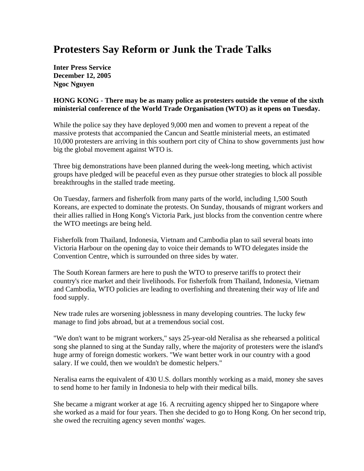## **Protesters Say Reform or Junk the Trade Talks**

**Inter Press Service December 12, 2005 Ngoc Nguyen**

## **HONG KONG - There may be as many police as protesters outside the venue of the sixth ministerial conference of the World Trade Organisation (WTO) as it opens on Tuesday.**

While the police say they have deployed 9,000 men and women to prevent a repeat of the massive protests that accompanied the Cancun and Seattle ministerial meets, an estimated 10,000 protesters are arriving in this southern port city of China to show governments just how big the global movement against WTO is.

Three big demonstrations have been planned during the week-long meeting, which activist groups have pledged will be peaceful even as they pursue other strategies to block all possible breakthroughs in the stalled trade meeting.

On Tuesday, farmers and fisherfolk from many parts of the world, including 1,500 South Koreans, are expected to dominate the protests. On Sunday, thousands of migrant workers and their allies rallied in Hong Kong's Victoria Park, just blocks from the convention centre where the WTO meetings are being held.

Fisherfolk from Thailand, Indonesia, Vietnam and Cambodia plan to sail several boats into Victoria Harbour on the opening day to voice their demands to WTO delegates inside the Convention Centre, which is surrounded on three sides by water.

The South Korean farmers are here to push the WTO to preserve tariffs to protect their country's rice market and their livelihoods. For fisherfolk from Thailand, Indonesia, Vietnam and Cambodia, WTO policies are leading to overfishing and threatening their way of life and food supply.

New trade rules are worsening joblessness in many developing countries. The lucky few manage to find jobs abroad, but at a tremendous social cost.

"We don't want to be migrant workers," says 25-year-old Neralisa as she rehearsed a political song she planned to sing at the Sunday rally, where the majority of protesters were the island's huge army of foreign domestic workers. "We want better work in our country with a good salary. If we could, then we wouldn't be domestic helpers."

Neralisa earns the equivalent of 430 U.S. dollars monthly working as a maid, money she saves to send home to her family in Indonesia to help with their medical bills.

She became a migrant worker at age 16. A recruiting agency shipped her to Singapore where she worked as a maid for four years. Then she decided to go to Hong Kong. On her second trip, she owed the recruiting agency seven months' wages.